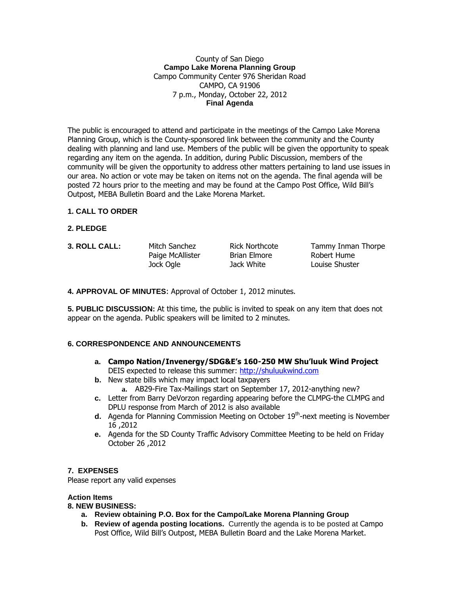#### County of San Diego **Campo Lake Morena Planning Group** Campo Community Center 976 Sheridan Road CAMPO, CA 91906 7 p.m., Monday, October 22, 2012 **Final Agenda**

The public is encouraged to attend and participate in the meetings of the Campo Lake Morena Planning Group, which is the County-sponsored link between the community and the County dealing with planning and land use. Members of the public will be given the opportunity to speak regarding any item on the agenda. In addition, during Public Discussion, members of the community will be given the opportunity to address other matters pertaining to land use issues in our area. No action or vote may be taken on items not on the agenda. The final agenda will be posted 72 hours prior to the meeting and may be found at the Campo Post Office, Wild Bill's Outpost, MEBA Bulletin Board and the Lake Morena Market.

# **1. CALL TO ORDER**

- **2. PLEDGE**
- 

Paige McAllister Brian Elmore Robert Hume Jock Ogle Jack White Louise Shuster

**3. ROLL CALL:** Mitch Sanchez Rick Northcote Tammy Inman Thorpe

**4. APPROVAL OF MINUTES**: Approval of October 1, 2012 minutes.

**5. PUBLIC DISCUSSION:** At this time, the public is invited to speak on any item that does not appear on the agenda. Public speakers will be limited to 2 minutes.

# **6. CORRESPONDENCE AND ANNOUNCEMENTS**

- **a. Campo Nation/Invenergy/SDG&E's 160-250 MW Shu'luuk Wind Project** DEIS expected to release this summer: [http://shuluukwind.com](http://shuluukwind.com/)
- **b.** New state bills which may impact local taxpayers
	- **a.** AB29-Fire Tax-Mailings start on September 17, 2012-anything new?
- **c.** Letter from Barry DeVorzon regarding appearing before the CLMPG-the CLMPG and DPLU response from March of 2012 is also available
- **d.** Agenda for Planning Commission Meeting on October 19<sup>th</sup>-next meeting is November 16 ,2012
- **e.** Agenda for the SD County Traffic Advisory Committee Meeting to be held on Friday October 26 ,2012

# **7. EXPENSES**

Please report any valid expenses

# **Action Items**

# **8. NEW BUSINESS:**

- **a. Review obtaining P.O. Box for the Campo/Lake Morena Planning Group**
- **b. Review of agenda posting locations.** Currently the agenda is to be posted at Campo Post Office, Wild Bill's Outpost, MEBA Bulletin Board and the Lake Morena Market.